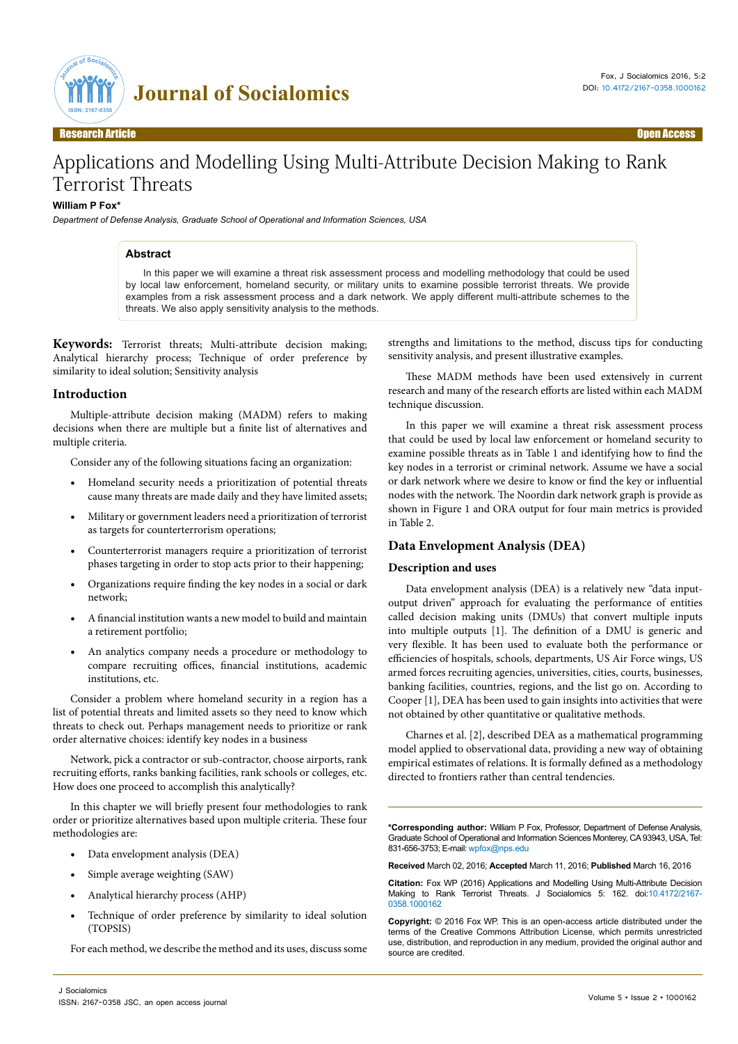

# Applications and Modelling Using Multi-Attribute Decision Making to Rank Terrorist Threats

# **William P Fox\***

*Department of Defense Analysis, Graduate School of Operational and Information Sciences, USA*

# **Abstract**

In this paper we will examine a threat risk assessment process and modelling methodology that could be used by local law enforcement, homeland security, or military units to examine possible terrorist threats. We provide examples from a risk assessment process and a dark network. We apply different multi-attribute schemes to the threats. We also apply sensitivity analysis to the methods.

**Keywords:** Terrorist threats; Multi-attribute decision making; Analytical hierarchy process; Technique of order preference by similarity to ideal solution; Sensitivity analysis

# **Introduction**

Multiple-attribute decision making (MADM) refers to making decisions when there are multiple but a finite list of alternatives and multiple criteria.

Consider any of the following situations facing an organization:

- Homeland security needs a prioritization of potential threats cause many threats are made daily and they have limited assets;
- Military or government leaders need a prioritization of terrorist as targets for counterterrorism operations;
- Counterterrorist managers require a prioritization of terrorist phases targeting in order to stop acts prior to their happening;
- Organizations require finding the key nodes in a social or dark network;
- A financial institution wants a new model to build and maintain a retirement portfolio;
- An analytics company needs a procedure or methodology to compare recruiting offices, financial institutions, academic institutions, etc.

Consider a problem where homeland security in a region has a list of potential threats and limited assets so they need to know which threats to check out. Perhaps management needs to prioritize or rank order alternative choices: identify key nodes in a business

Network, pick a contractor or sub-contractor, choose airports, rank recruiting efforts, ranks banking facilities, rank schools or colleges, etc. How does one proceed to accomplish this analytically?

In this chapter we will briefly present four methodologies to rank order or prioritize alternatives based upon multiple criteria. These four methodologies are:

- Data envelopment analysis (DEA)
- Simple average weighting (SAW)
- Analytical hierarchy process (AHP)
- Technique of order preference by similarity to ideal solution (TOPSIS)

For each method, we describe the method and its uses, discuss some

strengths and limitations to the method, discuss tips for conducting sensitivity analysis, and present illustrative examples.

These MADM methods have been used extensively in current research and many of the research efforts are listed within each MADM technique discussion.

In this paper we will examine a threat risk assessment process that could be used by local law enforcement or homeland security to examine possible threats as in Table 1 and identifying how to find the key nodes in a terrorist or criminal network. Assume we have a social or dark network where we desire to know or find the key or influential nodes with the network. The Noordin dark network graph is provide as shown in Figure 1 and ORA output for four main metrics is provided in Table 2.

# **Data Envelopment Analysis (DEA)**

## **Description and uses**

Data envelopment analysis (DEA) is a relatively new "data inputoutput driven" approach for evaluating the performance of entities called decision making units (DMUs) that convert multiple inputs into multiple outputs [1]. The definition of a DMU is generic and very flexible. It has been used to evaluate both the performance or efficiencies of hospitals, schools, departments, US Air Force wings, US armed forces recruiting agencies, universities, cities, courts, businesses, banking facilities, countries, regions, and the list go on. According to Cooper [1], DEA has been used to gain insights into activities that were not obtained by other quantitative or qualitative methods.

Charnes et al. [2], described DEA as a mathematical programming model applied to observational data, providing a new way of obtaining empirical estimates of relations. It is formally defined as a methodology directed to frontiers rather than central tendencies.

**\*Corresponding author:** William P Fox, Professor, Department of Defense Analysis, Graduate School of Operational and Information Sciences Monterey, CA 93943, USA, Tel: 831-656-3753; E-mail: wpfox@nps.edu

**Received** March 02, 2016; **Accepted** March 11, 2016; **Published** March 16, 2016

**Citation:** Fox WP (2016) Applications and Modelling Using Multi-Attribute Decision Making to Rank Terrorist Threats. J Socialomics 5: 162. doi:10.4172/2167- 0358.1000162

**Copyright:** © 2016 Fox WP. This is an open-access article distributed under the terms of the Creative Commons Attribution License, which permits unrestricted use, distribution, and reproduction in any medium, provided the original author and source are credited.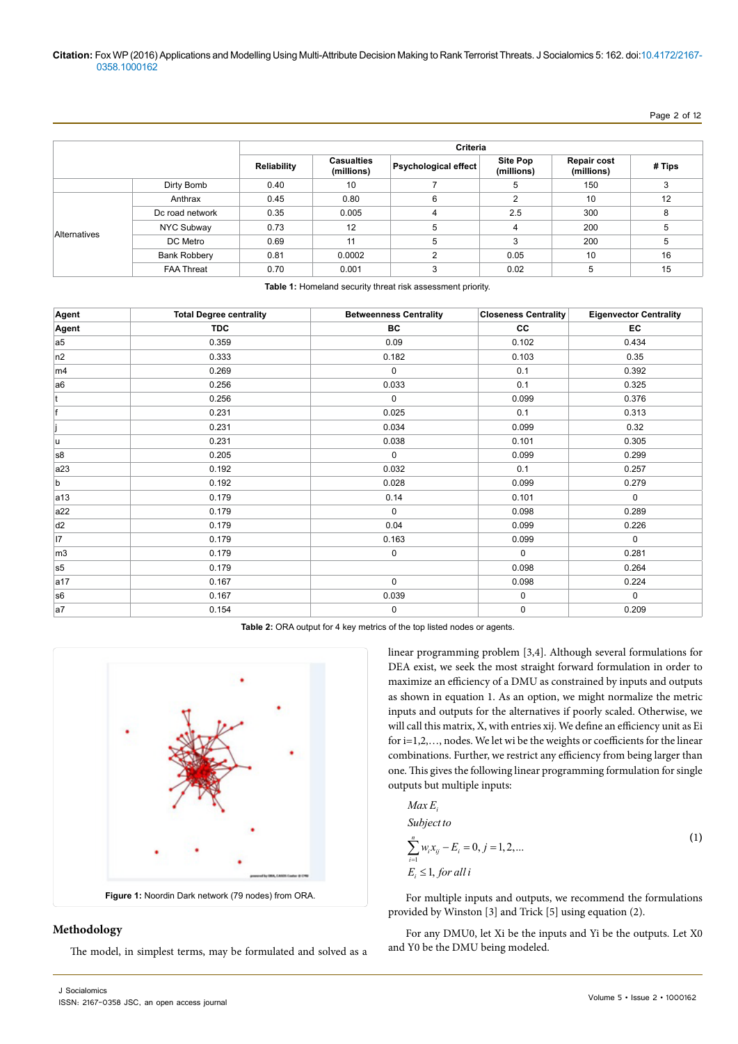## Page 2 of 12

|              |                     | Criteria    |                                 |                      |                               |                                  |        |
|--------------|---------------------|-------------|---------------------------------|----------------------|-------------------------------|----------------------------------|--------|
|              |                     | Reliability | <b>Casualties</b><br>(millions) | Psychological effect | <b>Site Pop</b><br>(millions) | <b>Repair cost</b><br>(millions) | # Tips |
|              | Dirty Bomb          | 0.40        | 10                              |                      |                               | 150                              | 3      |
| Alternatives | Anthrax             | 0.45        | 0.80                            | 6                    | C                             | 10                               | 12     |
|              | Dc road network     | 0.35        | 0.005                           | 4                    | 2.5                           | 300                              | 8      |
|              | NYC Subway          | 0.73        | 12                              | 5                    | 4                             | 200                              | 5      |
|              | DC Metro            | 0.69        | 11                              | 5                    |                               | 200                              | 5      |
|              | <b>Bank Robbery</b> | 0.81        | 0.0002                          |                      | 0.05                          | 10                               | 16     |
|              | <b>FAA Threat</b>   | 0.70        | 0.001                           |                      | 0.02                          | 5                                | 15     |

**Table 1:** Homeland security threat risk assessment priority.

| Agent          | <b>Total Degree centrality</b> | <b>Betweenness Centrality</b> | <b>Closeness Centrality</b> | <b>Eigenvector Centrality</b> |
|----------------|--------------------------------|-------------------------------|-----------------------------|-------------------------------|
| Agent          | <b>TDC</b>                     | BC                            | СC                          | EC                            |
| a <sub>5</sub> | 0.359                          | 0.09                          | 0.102                       | 0.434                         |
| n2             | 0.333                          | 0.182                         | 0.103                       | 0.35                          |
| m <sub>4</sub> | 0.269                          | $\mathbf 0$                   | 0.1                         | 0.392                         |
| a <sub>6</sub> | 0.256                          | 0.033                         | 0.1                         | 0.325                         |
| t              | 0.256                          | 0                             | 0.099                       | 0.376                         |
| f              | 0.231                          | 0.025                         | 0.1                         | 0.313                         |
|                | 0.231                          | 0.034                         | 0.099                       | 0.32                          |
| u              | 0.231                          | 0.038                         | 0.101                       | 0.305                         |
| s8             | 0.205                          | 0                             | 0.099                       | 0.299                         |
| a23            | 0.192                          | 0.032                         | 0.1                         | 0.257                         |
| b              | 0.192                          | 0.028                         | 0.099                       | 0.279                         |
| a13            | 0.179                          | 0.14                          | 0.101                       | $\mathbf 0$                   |
| a22            | 0.179                          | 0                             | 0.098                       | 0.289                         |
| d2             | 0.179                          | 0.04                          | 0.099                       | 0.226                         |
| 7              | 0.179                          | 0.163                         | 0.099                       | $\mathbf 0$                   |
| m <sub>3</sub> | 0.179                          | 0                             | 0                           | 0.281                         |
| s <sub>5</sub> | 0.179                          |                               | 0.098                       | 0.264                         |
| a17            | 0.167                          | 0                             | 0.098                       | 0.224                         |
| s <sub>6</sub> | 0.167                          | 0.039                         | 0                           | $\mathbf 0$                   |
| a7             | 0.154                          | 0                             | 0                           | 0.209                         |

**Table 2:** ORA output for 4 key metrics of the top listed nodes or agents.



# **Methodology**

The model, in simplest terms, may be formulated and solved as a

linear programming problem [3,4]. Although several formulations for DEA exist, we seek the most straight forward formulation in order to maximize an efficiency of a DMU as constrained by inputs and outputs as shown in equation 1. As an option, we might normalize the metric inputs and outputs for the alternatives if poorly scaled. Otherwise, we will call this matrix, X, with entries xij. We define an efficiency unit as Ei for i=1,2,…, nodes. We let wi be the weights or coefficients for the linear combinations. Further, we restrict any efficiency from being larger than one. This gives the following linear programming formulation for single outputs but multiple inputs:

*i Max E Subject to*

Suggestion  
\n
$$
\sum_{i=1}^{n} w_i x_{ij} - E_i = 0, j = 1, 2, ...
$$
\n
$$
E_i \le 1, for all i
$$
\n(1)

For multiple inputs and outputs, we recommend the formulations provided by Winston [3] and Trick [5] using equation (2).

For any DMU0, let Xi be the inputs and Yi be the outputs. Let X0 and Y0 be the DMU being modeled.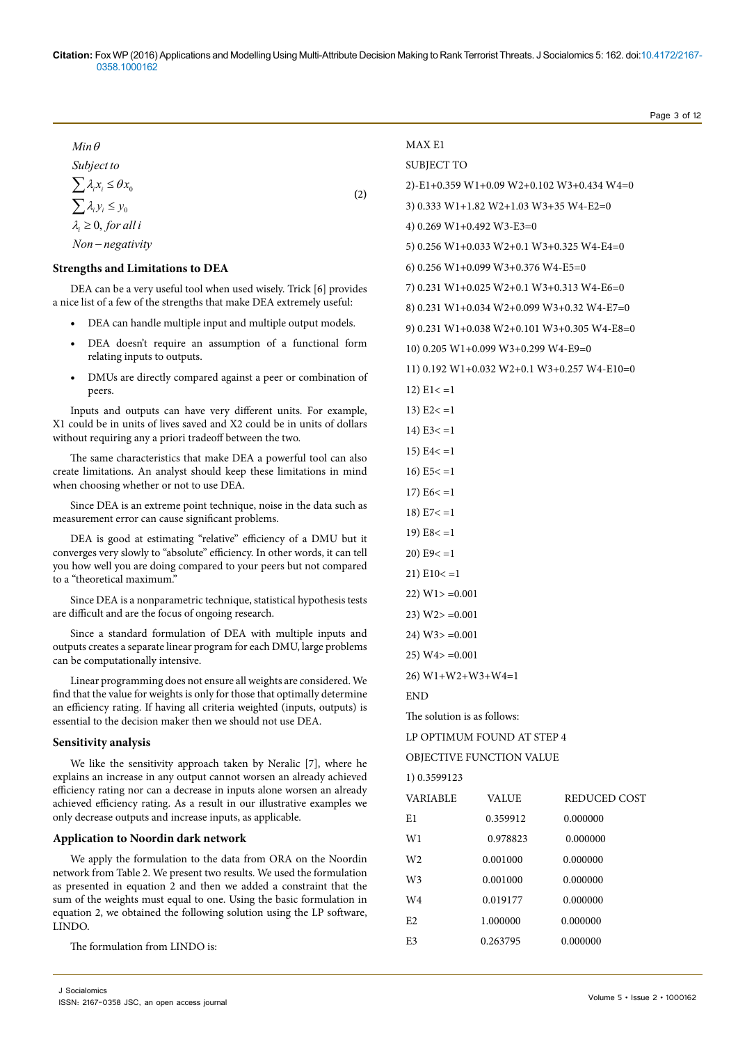| '''<br>v. |  |
|-----------|--|
|           |  |

*Subject to*

 $\sum \lambda_i x_i \leq \theta x_0$  $\sum \lambda_i y_i \leq y_0$  (2)

 $\lambda_i \geq 0$ , for all i

*Non* – negativity

# **Strengths and Limitations to DEA**

DEA can be a very useful tool when used wisely. Trick [6] provides a nice list of a few of the strengths that make DEA extremely useful:

- DEA can handle multiple input and multiple output models.
- DEA doesn't require an assumption of a functional form relating inputs to outputs.
- DMUs are directly compared against a peer or combination of peers.

Inputs and outputs can have very different units. For example, X1 could be in units of lives saved and X2 could be in units of dollars without requiring any a priori tradeoff between the two.

The same characteristics that make DEA a powerful tool can also create limitations. An analyst should keep these limitations in mind when choosing whether or not to use DEA.

Since DEA is an extreme point technique, noise in the data such as measurement error can cause significant problems.

DEA is good at estimating "relative" efficiency of a DMU but it converges very slowly to "absolute" efficiency. In other words, it can tell you how well you are doing compared to your peers but not compared to a "theoretical maximum."

Since DEA is a nonparametric technique, statistical hypothesis tests are difficult and are the focus of ongoing research.

Since a standard formulation of DEA with multiple inputs and outputs creates a separate linear program for each DMU, large problems can be computationally intensive.

Linear programming does not ensure all weights are considered. We find that the value for weights is only for those that optimally determine an efficiency rating. If having all criteria weighted (inputs, outputs) is essential to the decision maker then we should not use DEA.

# **Sensitivity analysis**

We like the sensitivity approach taken by Neralic [7], where he explains an increase in any output cannot worsen an already achieved efficiency rating nor can a decrease in inputs alone worsen an already achieved efficiency rating. As a result in our illustrative examples we only decrease outputs and increase inputs, as applicable.

# **Application to Noordin dark network**

We apply the formulation to the data from ORA on the Noordin network from Table 2. We present two results. We used the formulation as presented in equation 2 and then we added a constraint that the sum of the weights must equal to one. Using the basic formulation in equation 2, we obtained the following solution using the LP software, LINDO.

The formulation from LINDO is:

MAX E1 SUBJECT TO

2)-E1+0.359 W1+0.09 W2+0.102 W3+0.434 W4=0

3) 0.333 W1+1.82 W2+1.03 W3+35 W4-E2=0

4)  $0.269 \text{ W}1+0.492 \text{ W}3-\text{E}3=0$ 

5) 0.256 W1+0.033 W2+0.1 W3+0.325 W4-E4=0

6) 0.256 W1+0.099 W3+0.376 W4-E5=0

7) 0.231 W1+0.025 W2+0.1 W3+0.313 W4-E6=0

8) 0.231 W1+0.034 W2+0.099 W3+0.32 W4-E7=0

9) 0.231 W1+0.038 W2+0.101 W3+0.305 W4-E8=0

- 10) 0.205 W1+0.099 W3+0.299 W4-E9=0
- 11) 0.192 W1+0.032 W2+0.1 W3+0.257 W4-E10=0
- 12)  $E1 < 1$ 13)  $E2 < 1$ 14)  $E3 < 1$ 15)  $E4 < 1$

16)  $E5 < 1$ 

- $17) E6 < 1$
- 18)  $E7 < 1$

19)  $E8 < 1$ 

- $20)$  E9 $\lt$  =1
- $21)$  E10  $lt = 1$
- $22)$  W1  $> = 0.001$
- $23)$  W2> =0.001
- $24)$  W<sub>3</sub> $> = 0.001$
- $25)$  W4 $> = 0.001$
- 26) W1+W2+W3+W4=1

**END** 

The solution is as follows:

LP OPTIMUM FOUND AT STEP 4

OBJECTIVE FUNCTION VALUE

1) 0.3599123

| VARIABLE       | VALUE    | REDUCED COST |
|----------------|----------|--------------|
| E1             | 0.359912 | 0.000000     |
| W1             | 0.978823 | 0.000000     |
| W2             | 0.001000 | 0.000000     |
| W3             | 0.001000 | 0.000000     |
| W4             | 0.019177 | 0.000000     |
| E <sub>2</sub> | 1.000000 | 0.000000     |
| E <sub>3</sub> | 0.263795 | 0.000000     |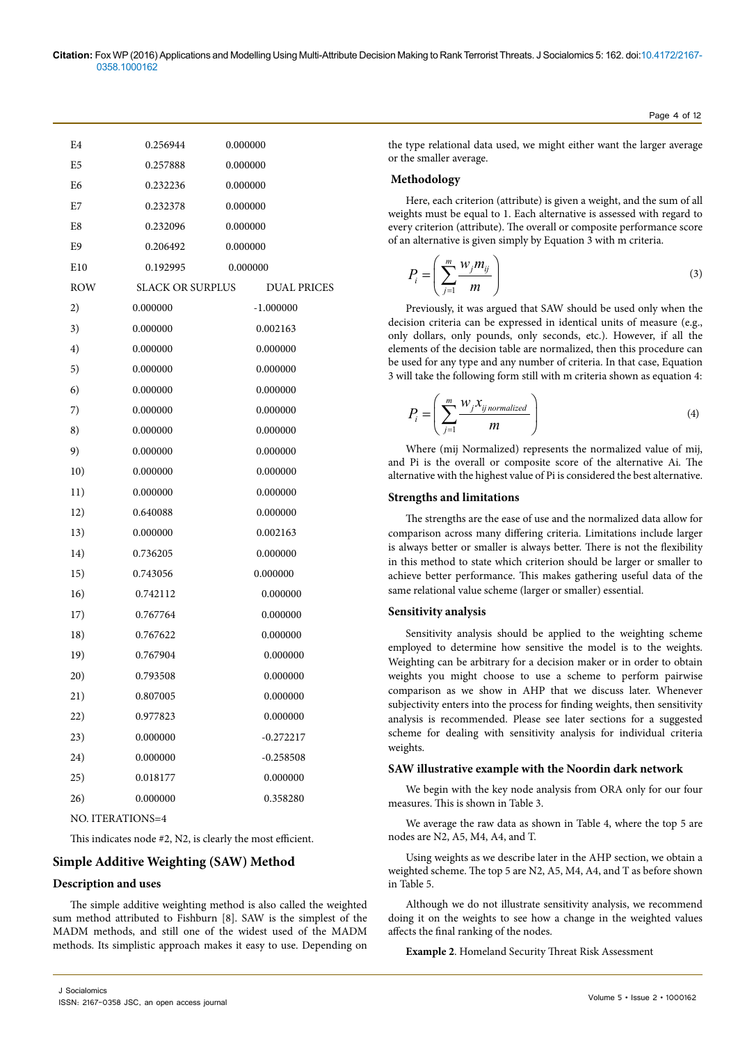| E4             | 0.256944                | 0.000000           |
|----------------|-------------------------|--------------------|
| E <sub>5</sub> | 0.257888                | 0.000000           |
| E6             | 0.232236                | 0.000000           |
| E7             | 0.232378                | 0.000000           |
| E8             | 0.232096                | 0.000000           |
| E9             | 0.206492                | 0.000000           |
| E10            | 0.192995                | 0.000000           |
| <b>ROW</b>     | <b>SLACK OR SURPLUS</b> | <b>DUAL PRICES</b> |
| 2)             | 0.000000                | $-1.000000$        |
| 3)             | 0.000000                | 0.002163           |
| 4)             | 0.000000                | 0.000000           |
| 5)             | 0.000000                | 0.000000           |
| 6)             | 0.000000                | 0.000000           |
| 7)             | 0.000000                | 0.000000           |
| 8)             | 0.000000                | 0.000000           |
| 9)             | 0.000000                | 0.000000           |
| 10)            | 0.000000                | 0.000000           |
| 11)            | 0.000000                | 0.000000           |
| 12)            | 0.640088                | 0.000000           |
| 13)            | 0.000000                | 0.002163           |
| 14)            | 0.736205                | 0.000000           |
| 15)            | 0.743056                | 0.000000           |
| 16)            | 0.742112                | 0.000000           |
| 17)            | 0.767764                | 0.000000           |
| 18)            | 0.767622                | 0.000000           |
| 19)            | 0.767904                | 0.000000           |
| 20)            | 0.793508                | 0.000000           |
| 21)            | 0.807005                | 0.000000           |
| 22)            | 0.977823                | 0.000000           |
| 23)            | 0.000000                | $-0.272217$        |
| 24)            | 0.000000                | $-0.258508$        |
| 25)            | 0.018177                | 0.000000           |
| 26)            | 0.000000                | 0.358280           |
|                |                         |                    |

NO. ITERATIONS=4

This indicates node #2, N2, is clearly the most efficient.

# **Simple Additive Weighting (SAW) Method**

## **Description and uses**

The simple additive weighting method is also called the weighted sum method attributed to Fishburn [8]. SAW is the simplest of the MADM methods, and still one of the widest used of the MADM methods. Its simplistic approach makes it easy to use. Depending on Page 4 of 12

the type relational data used, we might either want the larger average or the smaller average.

## **Methodology**

Here, each criterion (attribute) is given a weight, and the sum of all weights must be equal to 1. Each alternative is assessed with regard to every criterion (attribute). The overall or composite performance score of an alternative is given simply by Equation 3 with m criteria.

$$
P_i = \left(\sum_{j=1}^m \frac{w_j m_{ij}}{m}\right) \tag{3}
$$

Previously, it was argued that SAW should be used only when the decision criteria can be expressed in identical units of measure (e.g., only dollars, only pounds, only seconds, etc.). However, if all the elements of the decision table are normalized, then this procedure can be used for any type and any number of criteria. In that case, Equation 3 will take the following form still with m criteria shown as equation 4:

$$
P_i = \left(\sum_{j=1}^{m} \frac{W_j X_{ij \text{ normalized}}}{m}\right)
$$
 (4)

Where (mij Normalized) represents the normalized value of mij, and Pi is the overall or composite score of the alternative Ai. The alternative with the highest value of Pi is considered the best alternative.

## **Strengths and limitations**

The strengths are the ease of use and the normalized data allow for comparison across many differing criteria. Limitations include larger is always better or smaller is always better. There is not the flexibility in this method to state which criterion should be larger or smaller to achieve better performance. This makes gathering useful data of the same relational value scheme (larger or smaller) essential.

## **Sensitivity analysis**

Sensitivity analysis should be applied to the weighting scheme employed to determine how sensitive the model is to the weights. Weighting can be arbitrary for a decision maker or in order to obtain weights you might choose to use a scheme to perform pairwise comparison as we show in AHP that we discuss later. Whenever subjectivity enters into the process for finding weights, then sensitivity analysis is recommended. Please see later sections for a suggested scheme for dealing with sensitivity analysis for individual criteria weights.

## **SAW illustrative example with the Noordin dark network**

We begin with the key node analysis from ORA only for our four measures. This is shown in Table 3.

We average the raw data as shown in Table 4, where the top 5 are nodes are N2, A5, M4, A4, and T.

Using weights as we describe later in the AHP section, we obtain a weighted scheme. The top 5 are N2, A5, M4, A4, and T as before shown in Table 5.

Although we do not illustrate sensitivity analysis, we recommend doing it on the weights to see how a change in the weighted values affects the final ranking of the nodes.

**Example 2**. Homeland Security Threat Risk Assessment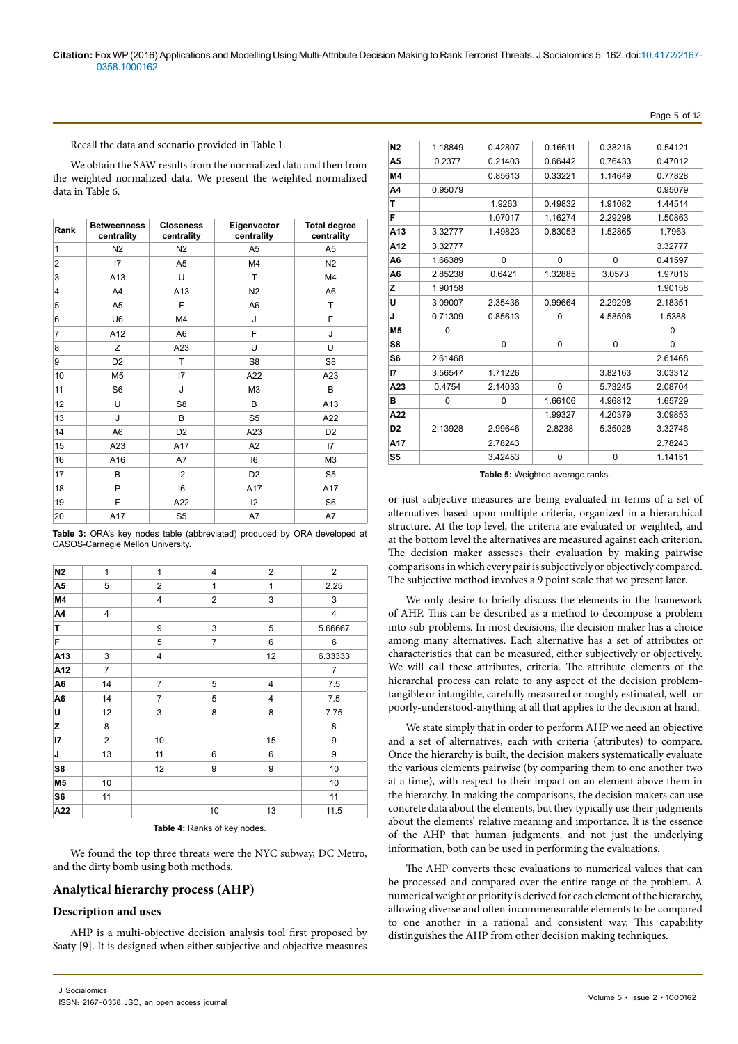Page 5 of 12

Recall the data and scenario provided in Table 1.

We obtain the SAW results from the normalized data and then from the weighted normalized data. We present the weighted normalized data in Table 6.

| Rank | <b>Betweenness</b><br>centrality | <b>Closeness</b><br>centrality | Eigenvector<br>centrality | <b>Total degree</b><br>centrality |
|------|----------------------------------|--------------------------------|---------------------------|-----------------------------------|
| 1    | N <sub>2</sub>                   | N2                             | A <sub>5</sub>            | A <sub>5</sub>                    |
| 2    | 17                               | A <sub>5</sub>                 | M4                        | N2                                |
| 3    | A13                              | U                              | T                         | M <sub>4</sub>                    |
| 4    | A4                               | A13                            | N <sub>2</sub>            | A <sub>6</sub>                    |
| 5    | A <sub>5</sub>                   | F                              | A <sub>6</sub>            | т                                 |
| 6    | U <sub>6</sub>                   | M <sub>4</sub>                 | J                         | F                                 |
| 7    | A12                              | A6                             | F                         | J                                 |
| 8    | Z                                | A23                            | U                         | U                                 |
| 9    | D <sub>2</sub>                   | T                              | S <sub>8</sub>            | S8                                |
| 10   | M <sub>5</sub>                   | 17                             | A22                       | A23                               |
| 11   | S <sub>6</sub>                   | J                              | M <sub>3</sub>            | B                                 |
| 12   | U                                | S8                             | B                         | A13                               |
| 13   | J                                | B                              | S <sub>5</sub>            | A22                               |
| 14   | A <sub>6</sub>                   | D <sub>2</sub>                 | A23                       | D <sub>2</sub>                    |
| 15   | A23                              | A17                            | A2                        | 17                                |
| 16   | A16                              | A7                             | 16                        | M <sub>3</sub>                    |
| 17   | B                                | 12                             | D <sub>2</sub>            | S <sub>5</sub>                    |
| 18   | P                                | 16                             | A17                       | A17                               |
| 19   | F                                | A22                            | 12                        | S <sub>6</sub>                    |
| 20   | A17                              | S <sub>5</sub>                 | A7                        | A7                                |

**Table 3:** ORA's key nodes table (abbreviated) produced by ORA developed at CASOS-Carnegie Mellon University.

| N <sub>2</sub> | $\mathbf{1}$   | 1                       | 4              | 2  | $\overline{2}$          |
|----------------|----------------|-------------------------|----------------|----|-------------------------|
| A <sub>5</sub> | 5              | $\overline{2}$          | $\mathbf{1}$   | 1  | 2.25                    |
| M4             |                | $\overline{\mathbf{4}}$ | $\overline{2}$ | 3  | 3                       |
| A4             | 4              |                         |                |    | $\overline{\mathbf{4}}$ |
| T              |                | 9                       | 3              | 5  | 5.66667                 |
| F              |                | 5                       | $\overline{7}$ | 6  | 6                       |
| A13            | 3              | $\overline{\mathbf{4}}$ |                | 12 | 6.33333                 |
| A12            | $\overline{7}$ |                         |                |    | $\overline{7}$          |
| A6             | 14             | $\overline{7}$          | 5              | 4  | 7.5                     |
| A <sub>6</sub> | 14             | $\overline{7}$          | 5              | 4  | 7.5                     |
| U              | 12             | 3                       | 8              | 8  | 7.75                    |
| Z              | 8              |                         |                |    | 8                       |
| 17             | $\overline{2}$ | 10                      |                | 15 | 9                       |
| J              | 13             | 11                      | 6              | 6  | 9                       |
| S8             |                | 12                      | 9              | 9  | 10                      |
| M <sub>5</sub> | 10             |                         |                |    | 10                      |
| S6             | 11             |                         |                |    | 11                      |
| A22            |                |                         | 10             | 13 | 11.5                    |

|  |  | Table 4: Ranks of key nodes. |  |  |  |
|--|--|------------------------------|--|--|--|
|--|--|------------------------------|--|--|--|

We found the top three threats were the NYC subway, DC Metro, and the dirty bomb using both methods.

# **Analytical hierarchy process (AHP)**

# **Description and uses**

AHP is a multi-objective decision analysis tool first proposed by Saaty [9]. It is designed when either subjective and objective measures

| N <sub>2</sub>  | 1.18849 | 0.42807 | 0.16611 | 0.38216  | 0.54121  |
|-----------------|---------|---------|---------|----------|----------|
| A <sub>5</sub>  | 0.2377  | 0.21403 | 0.66442 | 0.76433  | 0.47012  |
| M4              |         | 0.85613 | 0.33221 | 1.14649  | 0.77828  |
| A4              | 0.95079 |         |         |          | 0.95079  |
| т               |         | 1.9263  | 049832  | 191082   | 1.44514  |
| F               |         | 1.07017 | 1.16274 | 2.29298  | 1.50863  |
| A <sub>13</sub> | 3.32777 | 1.49823 | 0.83053 | 1.52865  | 1.7963   |
| A12             | 3.32777 |         |         |          | 3.32777  |
| A <sub>6</sub>  | 1.66389 | 0       | 0       | $\Omega$ | 0.41597  |
| A6              | 2.85238 | 0.6421  | 1.32885 | 3.0573   | 1.97016  |
| z               | 1.90158 |         |         |          | 1.90158  |
| U               | 3.09007 | 2.35436 | 0.99664 | 2.29298  | 2.18351  |
| J               | 0.71309 | 0.85613 | 0       | 4.58596  | 1.5388   |
| M <sub>5</sub>  | 0       |         |         |          | $\Omega$ |
| S8              |         | 0       | 0       | $\Omega$ | 0        |
| S6              | 2.61468 |         |         |          | 2.61468  |
| 17              | 3.56547 | 1.71226 |         | 3.82163  | 3.03312  |
| A23             | 0.4754  | 2.14033 | 0       | 5.73245  | 2.08704  |
| в               | 0       | 0       | 1.66106 | 4.96812  | 1.65729  |
| A22             |         |         | 1.99327 | 4.20379  | 3.09853  |
| D <sub>2</sub>  | 2.13928 | 2.99646 | 2.8238  | 5.35028  | 3.32746  |
| A <sub>17</sub> |         | 2.78243 |         |          | 2.78243  |
| S5              |         | 3.42453 | 0       | 0        | 1.14151  |

**Table 5: Weighted average ranks.** 

or just subjective measures are being evaluated in terms of a set of alternatives based upon multiple criteria, organized in a hierarchical structure. At the top level, the criteria are evaluated or weighted, and at the bottom level the alternatives are measured against each criterion. The decision maker assesses their evaluation by making pairwise comparisons in which every pair is subjectively or objectively compared. The subjective method involves a 9 point scale that we present later.

We only desire to briefly discuss the elements in the framework of AHP. This can be described as a method to decompose a problem into sub-problems. In most decisions, the decision maker has a choice among many alternatives. Each alternative has a set of attributes or characteristics that can be measured, either subjectively or objectively. We will call these attributes, criteria. The attribute elements of the hierarchal process can relate to any aspect of the decision problemtangible or intangible, carefully measured or roughly estimated, well- or poorly-understood-anything at all that applies to the decision at hand.

We state simply that in order to perform AHP we need an objective and a set of alternatives, each with criteria (attributes) to compare. Once the hierarchy is built, the decision makers systematically evaluate the various elements pairwise (by comparing them to one another two at a time), with respect to their impact on an element above them in the hierarchy. In making the comparisons, the decision makers can use concrete data about the elements, but they typically use their judgments about the elements' relative meaning and importance. It is the essence of the AHP that human judgments, and not just the underlying information, both can be used in performing the evaluations.

The AHP converts these evaluations to [numerical](http://en.wikipedia.org/wiki/Numerical) values that can be processed and compared over the entire range of the problem. A numerical weight or [priority](http://en.wikipedia.org/wiki/Priority) is derived for each element of the hierarchy, allowing diverse and often incommensurable elements to be compared to one another in a rational and consistent way. This capability distinguishes the AHP from other decision making techniques.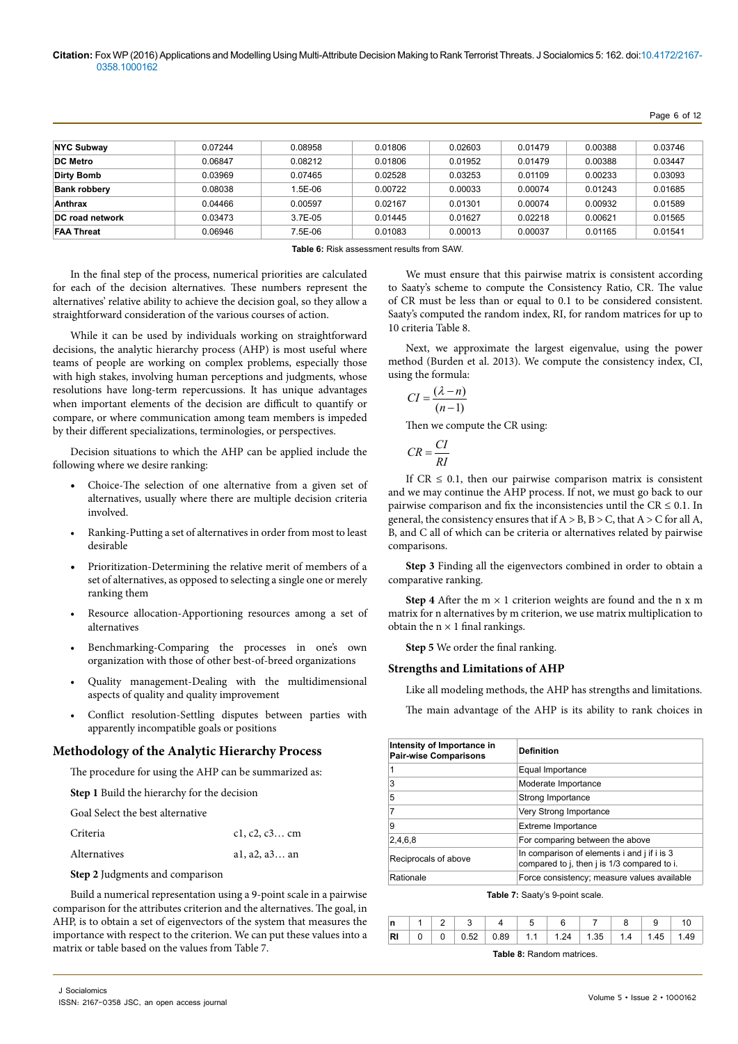| <b>NYC Subway</b>   |         |            |         |         |         |         |         |
|---------------------|---------|------------|---------|---------|---------|---------|---------|
|                     | 0.07244 | 0.08958    | 0.01806 | 0.02603 | 0.01479 | 0.00388 | 0.03746 |
| <b>DC Metro</b>     | 0.06847 | 0.08212    | 0.01806 | 0.01952 | 0.01479 | 0.00388 | 0.03447 |
| <b>Dirty Bomb</b>   | 0.03969 | 0.07465    | 0.02528 | 0.03253 | 0.01109 | 0.00233 | 0.03093 |
| <b>Bank robbery</b> | 0.08038 | .5E-06     | 0.00722 | 0.00033 | 0.00074 | 0.01243 | 0.01685 |
| Anthrax             | 0.04466 | 0.00597    | 0.02167 | 0.01301 | 0.00074 | 0.00932 | 0.01589 |
| DC road network     | 0.03473 | $3.7E-0.5$ | 0.01445 | 0.01627 | 0.02218 | 0.00621 | 0.01565 |
| <b>FAA Threat</b>   | 0.06946 | 7.5E-06    | 0.01083 | 0.00013 | 0.00037 | 0.01165 | 0.01541 |
|                     |         |            |         |         |         |         |         |

**Table 6:** Risk assessment results from SAW.

In the final step of the process, numerical priorities are calculated for each of the decision alternatives. These numbers represent the alternatives' relative ability to achieve the decision goal, so they allow a straightforward consideration of the various courses of action.

While it can be used by individuals working on straightforward decisions, the analytic hierarchy process (AHP) is most useful where teams of people are working on complex problems, especially those with high stakes, involving human perceptions and judgments, whose resolutions have long-term repercussions. It has unique advantages when important elements of the decision are difficult to quantify or compare, or where communication among team members is impeded by their different specializations, terminologies, or perspectives.

Decision situations to which the AHP can be applied include the following where we desire ranking:

- Choice-The selection of one alternative from a given set of alternatives, usually where there are multiple decision criteria involved.
- [Ranking](http://en.wikipedia.org/wiki/Ranking)-Putting a set of alternatives in order from most to least desirable
- Prioritization-Determining the relative merit of members of a set of alternatives, as opposed to selecting a single one or merely ranking them
- [Resource allocation](http://en.wikipedia.org/wiki/Resource_allocation)-Apportioning resources among a set of alternatives
- [Benchmarking](http://en.wikipedia.org/wiki/Benchmarking)-Comparing the processes in one's own organization with those of other best-of-breed organizations
- [Quality management-](http://en.wikipedia.org/wiki/Quality_management)Dealing with the multidimensional aspects of quality and quality improvement
- [Conflict resolution](http://en.wikipedia.org/wiki/Conflict_resolution)-Settling disputes between parties with apparently incompatible goals or positions

# **Methodology of the Analytic Hierarchy Process**

The procedure for using the AHP can be summarized as:

**Step 1** Build the hierarchy for the decision

Goal Select the best alternative

| Criteria     | c1, c2, c3 cm   |
|--------------|-----------------|
| Alternatives | $a1, a2, a3$ an |

**Step 2** Judgments and comparison

Build a numerical representation using a 9-point scale in a pairwise comparison for the attributes criterion and the alternatives. The goal, in AHP, is to obtain a set of eigenvectors of the system that measures the importance with respect to the criterion. We can put these values into a matrix or table based on the values from Table 7.

We must ensure that this pairwise matrix is consistent according to Saaty's scheme to compute the Consistency Ratio, CR. The value of CR must be less than or equal to 0.1 to be considered consistent. Saaty's computed the random index, RI, for random matrices for up to 10 criteria Table 8.

Next, we approximate the largest eigenvalue, using the power method (Burden et al. 2013). We compute the consistency index, CI, using the formula:

$$
CI = \frac{(\lambda - n)}{(n - 1)}
$$

Then we compute the CR using:

$$
CR = \frac{CI}{RI}
$$

If  $CR \leq 0.1$ , then our pairwise comparison matrix is consistent and we may continue the AHP process. If not, we must go back to our pairwise comparison and fix the inconsistencies until the  $CR \leq 0.1$ . In general, the consistency ensures that if  $A > B$ ,  $B > C$ , that  $A > C$  for all A, B, and C all of which can be criteria or alternatives related by pairwise comparisons.

**Step 3** Finding all the eigenvectors combined in order to obtain a comparative ranking.

**Step 4** After the  $m \times 1$  criterion weights are found and the n x m matrix for n alternatives by m criterion, we use matrix multiplication to obtain the  $n \times 1$  final rankings.

**Step 5** We order the final ranking.

# **Strengths and Limitations of AHP**

Like all modeling methods, the AHP has strengths and limitations.

The main advantage of the AHP is its ability to rank choices in

| Intensity of Importance in<br><b>Pair-wise Comparisons</b> | <b>Definition</b>                                                                          |
|------------------------------------------------------------|--------------------------------------------------------------------------------------------|
| 1                                                          | Equal Importance                                                                           |
| 3                                                          | Moderate Importance                                                                        |
| 5                                                          | Strong Importance                                                                          |
| 7                                                          | Very Strong Importance                                                                     |
| 9                                                          | <b>Extreme Importance</b>                                                                  |
| 2,4,6,8                                                    | For comparing between the above                                                            |
| Reciprocals of above                                       | In comparison of elements i and j if i is 3<br>compared to j, then j is 1/3 compared to i. |
| Rationale                                                  | Force consistency; measure values available                                                |

**Table 7:** Saaty's 9-point scale.

| n                                |  |  |      |      | ∽  |      |      |  |      |      |
|----------------------------------|--|--|------|------|----|------|------|--|------|------|
| RI                               |  |  | 0.52 | 0.89 | 11 | 1.24 | 1.35 |  | 1.45 | 1.49 |
| <b>Table 8: Random matrices.</b> |  |  |      |      |    |      |      |  |      |      |

Volume 5 • Issue 2 • 1000162

Page 6 of 12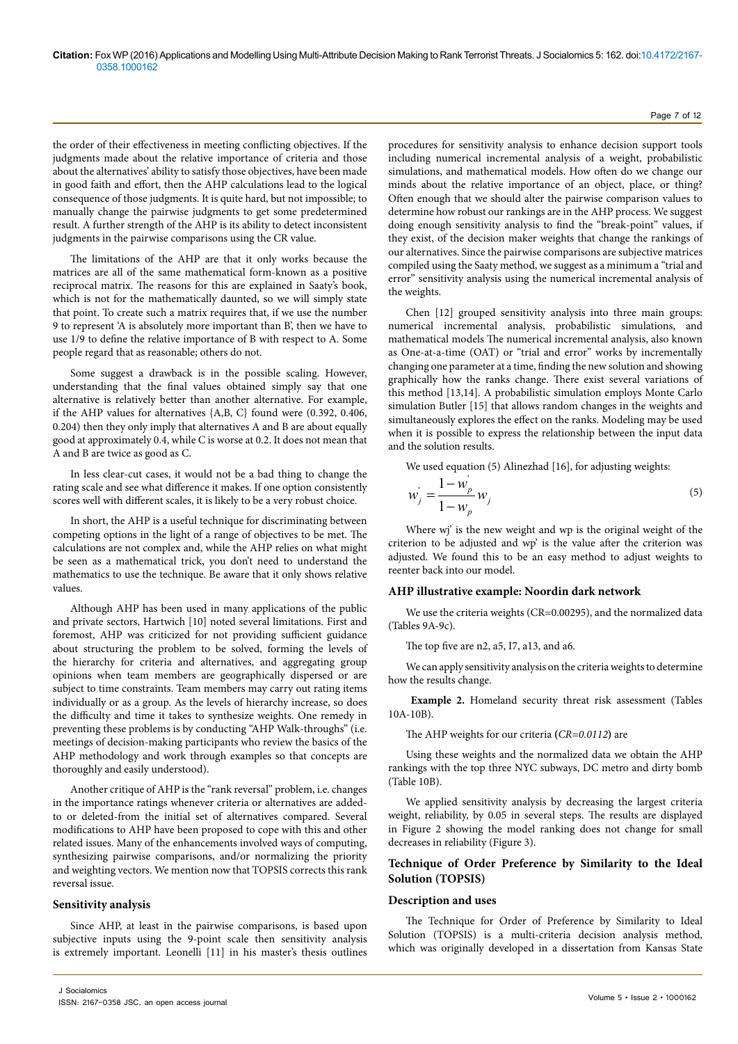the order of their effectiveness in meeting conflicting objectives. If the judgments made about the relative importance of criteria and those about the alternatives' ability to satisfy those objectives, have been made in good faith and effort, then the AHP calculations lead to the logical consequence of those judgments. It is quite hard, but not impossible; to manually change the pairwise judgments to get some predetermined result. A further strength of the AHP is its ability to detect inconsistent judgments in the pairwise comparisons using the CR value.

The limitations of the AHP are that it only works because the matrices are all of the same mathematical form-known as a positive reciprocal matrix. The reasons for this are explained in Saaty's book, which is not for the mathematically daunted, so we will simply state that point. To create such a matrix requires that, if we use the number 9 to represent 'A is absolutely more important than B', then we have to use 1/9 to define the relative importance of B with respect to A. Some people regard that as reasonable; others do not.

Some suggest a drawback is in the possible scaling. However, understanding that the final values obtained simply say that one alternative is relatively better than another alternative. For example, if the AHP values for alternatives {A,B, C} found were (0.392, 0.406, 0.204) then they only imply that alternatives A and B are about equally good at approximately 0.4, while C is worse at 0.2. It does not mean that A and B are twice as good as C.

In less clear-cut cases, it would not be a bad thing to change the rating scale and see what difference it makes. If one option consistently scores well with different scales, it is likely to be a very robust choice.

In short, the AHP is a useful technique for discriminating between competing options in the light of a range of objectives to be met. The calculations are not complex and, while the AHP relies on what might be seen as a mathematical trick, you don't need to understand the mathematics to use the technique. Be aware that it only shows relative values.

Although AHP has been used in many applications of the public and private sectors, Hartwich [10] noted several limitations. First and foremost, AHP was criticized for not providing sufficient guidance about structuring the problem to be solved, forming the levels of the hierarchy for criteria and alternatives, and aggregating group opinions when team members are geographically dispersed or are subject to time constraints. Team members may carry out rating items individually or as a group. As the levels of hierarchy increase, so does the difficulty and time it takes to synthesize weights. One remedy in preventing these problems is by conducting "AHP Walk-throughs" (i.e. meetings of decision-making participants who review the basics of the AHP methodology and work through examples so that concepts are thoroughly and easily understood).

Another critique of AHP is the "rank reversal" problem, i.e. changes in the importance ratings whenever criteria or alternatives are addedto or deleted-from the initial set of alternatives compared. Several modifications to AHP have been proposed to cope with this and other related issues. Many of the enhancements involved ways of computing, synthesizing pairwise comparisons, and/or normalizing the priority and weighting vectors. We mention now that TOPSIS corrects this rank reversal issue.

# **Sensitivity analysis**

Since AHP, at least in the pairwise comparisons, is based upon subjective inputs using the 9-point scale then sensitivity analysis is extremely important. Leonelli [11] in his master's thesis outlines

procedures for sensitivity analysis to enhance decision support tools including numerical incremental analysis of a weight, probabilistic simulations, and mathematical models. How often do we change our minds about the relative importance of an object, place, or thing? Often enough that we should alter the pairwise comparison values to determine how robust our rankings are in the AHP process. We suggest doing enough sensitivity analysis to find the "break-point" values, if they exist, of the decision maker weights that change the rankings of our alternatives. Since the pairwise comparisons are subjective matrices compiled using the Saaty method, we suggest as a minimum a "trial and error" sensitivity analysis using the numerical incremental analysis of the weights.

Chen [12] grouped sensitivity analysis into three main groups: numerical incremental analysis, probabilistic simulations, and mathematical models The numerical incremental analysis, also known as One-at-a-time (OAT) or "trial and error" works by incrementally changing one parameter at a time, finding the new solution and showing graphically how the ranks change. There exist several variations of this method [13,14]. A probabilistic simulation employs Monte Carlo simulation Butler [15] that allows random changes in the weights and simultaneously explores the effect on the ranks. Modeling may be used when it is possible to express the relationship between the input data and the solution results.

We used equation (5) Alinezhad [16], for adjusting weights:

$$
w_j = \frac{1 - w_p'}{1 - w_p} w_j
$$
 (5)

Where wj' is the new weight and wp is the original weight of the criterion to be adjusted and wp' is the value after the criterion was adjusted. We found this to be an easy method to adjust weights to reenter back into our model.

## **AHP illustrative example: Noordin dark network**

We use the criteria weights (CR=0.00295), and the normalized data (Tables 9A-9c).

The top five are n2, a5, I7, a13, and a6.

We can apply sensitivity analysis on the criteria weights to determine how the results change.

 **Example 2.** Homeland security threat risk assessment (Tables 10A-10B).

The AHP weights for our criteria **(***CR=0.0112***)** are

Using these weights and the normalized data we obtain the AHP rankings with the top three NYC subways, DC metro and dirty bomb (Table 10B).

We applied sensitivity analysis by decreasing the largest criteria weight, reliability, by 0.05 in several steps. The results are displayed in Figure 2 showing the model ranking does not change for small decreases in reliability (Figure 3).

# **Technique of Order Preference by Similarity to the Ideal Solution (TOPSIS)**

## **Description and uses**

The Technique for Order of Preference by Similarity to Ideal Solution (TOPSIS) is a [multi-criteria decision analysis](http://en.wikipedia.org/wiki/Multi-criteria_decision_analysis) method, which was originally developed in a dissertation from Kansas State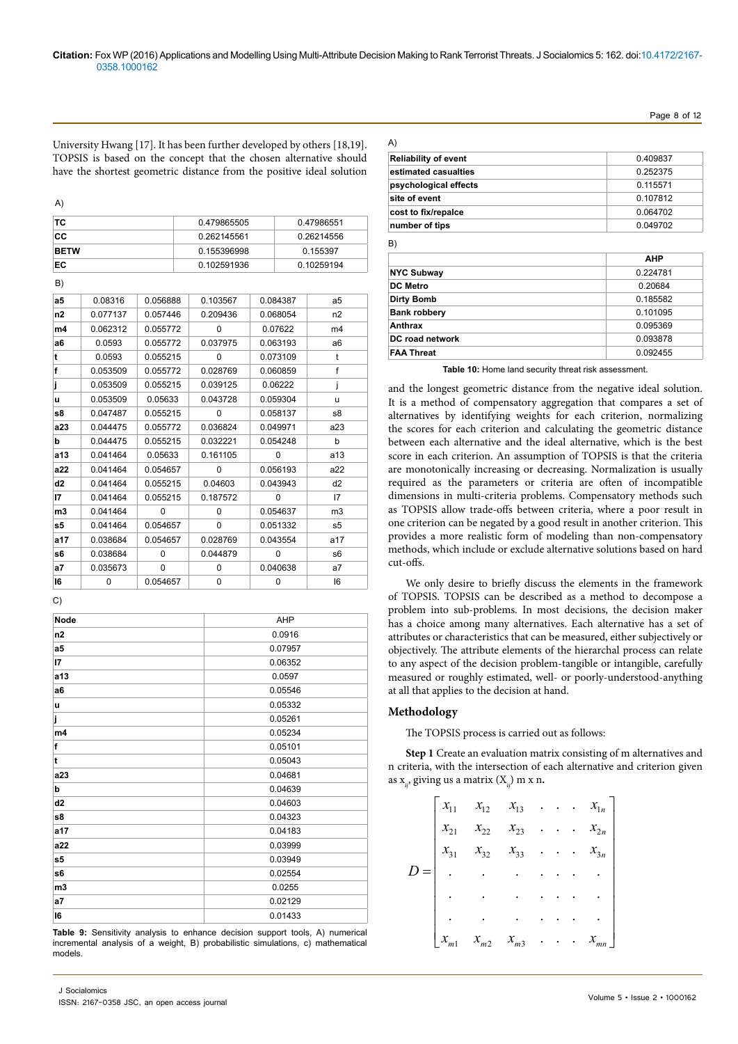A)

B)

University Hwang [17]. It has been further developed by others [18,19]. TOPSIS is based on the concept that the chosen alternative should have the shortest geometric distance from the positive ideal solution

**TC** 0.479865505 0.47986551 **CC** 0.262145561 0.26214556 **BETW** 0.155396998 0.155397 **EC** 0.102591936 0.10259194 A)

| B)             |          |          |          |             |                |
|----------------|----------|----------|----------|-------------|----------------|
| a <sub>5</sub> | 0.08316  | 0.056888 | 0.103567 | 0.084387    | a5             |
| n2             | 0.077137 | 0.057446 | 0.209436 | 0.068054    | n2             |
| m4             | 0.062312 | 0.055772 | 0        | 0.07622     | m4             |
| a6             | 0.0593   | 0.055772 | 0.037975 | 0.063193    | a6             |
| t              | 0.0593   | 0.055215 | 0        | 0.073109    | t              |
| f              | 0.053509 | 0.055772 | 0.028769 | 0.060859    | $\mathsf{f}$   |
| j              | 0.053509 | 0.055215 | 0.039125 | 0.06222     | j              |
| u              | 0.053509 | 0.05633  | 0.043728 | 0.059304    | u              |
| s8             | 0.047487 | 0.055215 | 0        | 0.058137    | s8             |
| a23            | 0.044475 | 0.055772 | 0.036824 | 0.049971    | a23            |
| þ              | 0.044475 | 0.055215 | 0.032221 | 0.054248    | b              |
| a13            | 0.041464 | 0.05633  | 0.161105 | $\mathbf 0$ | a13            |
| a22            | 0.041464 | 0.054657 | 0        | 0.056193    | a22            |
| d <sub>2</sub> | 0.041464 | 0.055215 | 0.04603  | 0.043943    | d <sub>2</sub> |
| 17             | 0.041464 | 0.055215 | 0.187572 | 0           | 17             |
| m <sub>3</sub> | 0.041464 | 0        | 0        | 0.054637    | m <sub>3</sub> |
| s5             | 0.041464 | 0.054657 | 0        | 0.051332    | s5             |
| a17            | 0.038684 | 0.054657 | 0.028769 | 0.043554    | a17            |
| s6             | 0.038684 | 0        | 0.044879 | 0           | s6             |
| a7             | 0.035673 | $\Omega$ | 0        | 0.040638    | a7             |
| 16             | 0        | 0.054657 | 0        | 0           | 16             |
|                |          |          |          |             |                |

C)

| <b>Node</b>    | AHP     |
|----------------|---------|
| n2             | 0.0916  |
| a <sub>5</sub> | 0.07957 |
| 17             | 0.06352 |
| a13            | 0.0597  |
| a <sub>6</sub> | 0.05546 |
| u              | 0.05332 |
| j              | 0.05261 |
| m4             | 0.05234 |
| f              | 0.05101 |
| t              | 0.05043 |
| a23            | 0.04681 |
| þ              | 0.04639 |
| d2             | 0.04603 |
| s8             | 0.04323 |
| a17            | 0.04183 |
| a22            | 0.03999 |
| s5             | 0.03949 |
| s6             | 0.02554 |
| m <sub>3</sub> | 0.0255  |
| a7             | 0.02129 |
| 16             | 0.01433 |

**Table 9:** Sensitivity analysis to enhance decision support tools, A) numerical incremental analysis of a weight, B) probabilistic simulations, c) mathematical models.

| A)                          |            |
|-----------------------------|------------|
| <b>Reliability of event</b> | 0.409837   |
| estimated casualties        | 0.252375   |
| psychological effects       | 0.115571   |
| site of event               | 0.107812   |
| cost to fix/repalce         | 0.064702   |
| number of tips              | 0.049702   |
| B)                          |            |
|                             | <b>AHP</b> |
| <b>NYC Subway</b>           | 0.224781   |
| <b>DC Metro</b>             | 0.20684    |
| <b>Dirty Bomb</b>           | 0.185582   |
| <b>Bank robbery</b>         | 0.101095   |

**Table 10:** Home land security threat risk assessment.

**Anthrax** 0.095369 **DC road network** 0.093878 **FAA Threat** 0.092455

and the longest geometric distance from the negative ideal solution. It is a method of compensatory aggregation that compares a set of alternatives by identifying weights for each criterion, normalizing the scores for each criterion and calculating the geometric distance between each alternative and the ideal alternative, which is the best score in each criterion. An assumption of TOPSIS is that the criteria are [monotonically](http://en.wikipedia.org/wiki/Monotonic_function) increasing or decreasing. [Normalization](http://en.wikipedia.org/wiki/Normalization_(statistics)) is usually required as the parameters or criteria are often of incompatible dimensions in multi-criteria problems. Compensatory methods such as TOPSIS allow trade-offs between criteria, where a poor result in one criterion can be negated by a good result in another criterion. This provides a more realistic form of modeling than non-compensatory methods, which include or exclude alternative solutions based on hard cut-offs.

We only desire to briefly discuss the elements in the framework of TOPSIS. TOPSIS can be described as a method to decompose a problem into sub-problems. In most decisions, the decision maker has a choice among many alternatives. Each alternative has a set of attributes or characteristics that can be measured, either subjectively or objectively. The attribute elements of the hierarchal process can relate to any aspect of the decision problem-tangible or intangible, carefully measured or roughly estimated, well- or poorly-understood-anything at all that applies to the decision at hand.

# **Methodology**

The TOPSIS process is carried out as follows:

**Step 1** Create an evaluation matrix consisting of m alternatives and n criteria, with the intersection of each alternative and criterion given as  $x_n$ , giving us a matrix  $(X_n)$  m x n.

|  | $x_{11}$ $x_{12}$ $x_{13}$ $\cdots$ $x_{1n}$<br>$x_{21}$ $x_{22}$ $x_{23}$ $\cdots$ $x_{2n}$<br>$x_{31}$ $x_{32}$ $x_{33}$ $\cdots$ $x_{3n}$<br>$\vdots$ |  |  |                                                                      |
|--|----------------------------------------------------------------------------------------------------------------------------------------------------------|--|--|----------------------------------------------------------------------|
|  |                                                                                                                                                          |  |  |                                                                      |
|  |                                                                                                                                                          |  |  | $\left\vert \cdot\right\vert \rightarrow\left\vert \cdot\right\vert$ |
|  |                                                                                                                                                          |  |  |                                                                      |
|  | $x_{m2}$                                                                                                                                                 |  |  | $x_{m3}$ $x_{mn}$                                                    |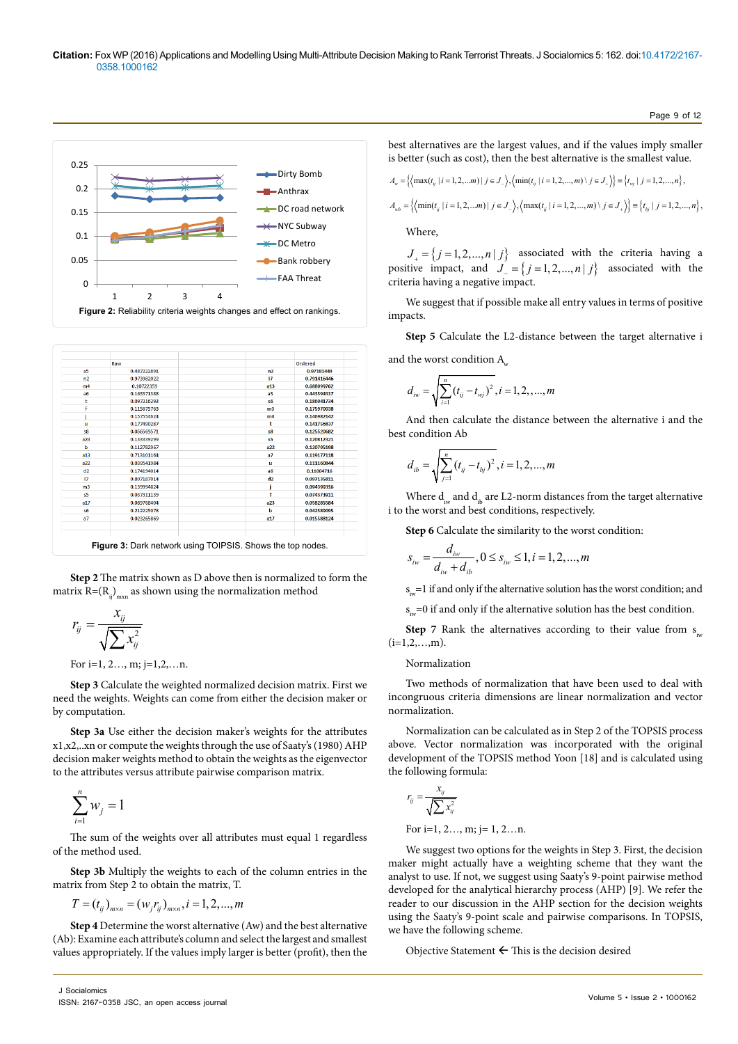

|                 | Raw         |                 | Ordered     |
|-----------------|-------------|-----------------|-------------|
| a <sub>5</sub>  | 0.487222891 | n2              | 0.97181449  |
| n2              | 0.973982022 | $\overline{17}$ | 0.791416446 |
| m4              | 0.10722359  | a13             | 0.688099762 |
| a6              | 0.163571388 | a5              | 0.443594317 |
| t               | 0.097216293 | s6              | 0.186941734 |
| f               | 0.115675763 | m <sub>3</sub>  | 0.175970038 |
|                 | 0.157554624 | m4              | 0.146982142 |
| ū               | 0.177490287 | ŧ               | 0.141756837 |
| S <sub>8</sub>  | 0.056569571 | s8              | 0.125520682 |
| a23             | 0.133339299 | s5              | 0.120812321 |
| ь               | 0.112782967 | a22             | 0.120795198 |
| a13             | 0.713101164 | a <sub>7</sub>  | 0.119177118 |
| a22             | 0.039541984 | u               | 0.111160844 |
| d2              | 0.174194014 | a6              | 0.11064716  |
| $\overline{17}$ | 0.807187014 | d2              | 0.097135811 |
| m <sub>3</sub>  | 0.139994824 |                 | 0.094399316 |
| s5              | 0.037311139 | f               | 0.074373911 |
| a17             | 0.089768404 | a23             | 0.058285584 |
| S6              | 0.212225078 | ь               | 0.042589095 |
| a <sub>7</sub>  | 0.023265869 | a17             | 0.015588124 |
|                 |             |                 |             |

**Step 2** The matrix shown as D above then is normalized to form the matrix  $R=(R_{1})$ <sub>max</sub> as shown using the normalization method

$$
r_{ij} = \frac{x_{ij}}{\sqrt{\sum x_{ij}^2}}
$$

For i=1, 2..., m; j=1,2,...n.

**Step 3** Calculate the weighted normalized decision matrix. First we need the weights. Weights can come from either the decision maker or by computation.

**Step 3a** Use either the decision maker's weights for the attributes x1,x2,..xn or compute the weights through the use of Saaty's (1980) AHP decision maker weights method to obtain the weights as the eigenvector to the attributes versus attribute pairwise comparison matrix.

$$
\sum_{i=1}^n w_i = 1
$$

J Socialomics

The sum of the weights over all attributes must equal 1 regardless of the method used.

**Step 3b** Multiply the weights to each of the column entries in the matrix from Step 2 to obtain the matrix, T.

$$
T = (t_{ij})_{m \times n} = (w_j r_{ij})_{m \times n}, i = 1, 2, ..., m
$$

**Step 4** Determine the worst alternative (Aw) and the best alternative (Ab): Examine each attribute's column and select the largest and smallest values appropriately. If the values imply larger is better (profit), then the best alternatives are the largest values, and if the values imply smaller is better (such as cost), then the best alternative is the smallest value.

Page 9 of 12

$$
A_w = \left\{ \left\{ \max(t_{ij} \mid i = 1, 2, \dots m) \mid j \in J_{-} \right\}, \left\{ \min(t_{ij} \mid i = 1, 2, \dots, m) \setminus j \in J_{+} \right\} \right\} \equiv \left\{ t_{wj} \mid j = 1, 2, \dots, n \right\},
$$
  

$$
A_{wb} = \left\{ \left\{ \min(t_{ij} \mid i = 1, 2, \dots, m) \mid j \in J_{-} \right\}, \left\{ \max(t_{ij} \mid i = 1, 2, \dots, m) \setminus j \in J_{+} \right\} \right\} \equiv \left\{ t_{bj} \mid j = 1, 2, \dots, n \right\},
$$

Where,

 $J = \{ j = 1, 2, ..., n | j \}$  associated with the criteria having a positive impact, and  $J = \{j = 1, 2, ..., n | j\}$  associated with the criteria having a negative impact.

We suggest that if possible make all entry values in terms of positive impacts.

**Step 5** Calculate the L2-distance between the target alternative i

and the worst condition A

$$
d_{iw} = \sqrt{\sum_{i=1}^{n} (t_{ij} - t_{wj})^2}, i = 1, 2, \dots, m
$$

And then calculate the distance between the alternative i and the best condition Ab

$$
d_{ib} = \sqrt{\sum_{j=1}^{n} (t_{ij} - t_{bj})^2}, i = 1, 2, ..., m
$$

Where  $d_{\mu}$  and  $d_{\mu}$  are L2-norm distances from the target alternative i to the worst and best conditions, respectively.

**Step 6** Calculate the similarity to the worst condition:

$$
s_{iw} = \frac{d_{iw}}{d_{iw} + d_{ib}}, 0 \le s_{iw} \le 1, i = 1, 2, ..., m
$$

 $s_{iw}=1$  if and only if the alternative solution has the worst condition; and

 $s_{\dots}=0$  if and only if the alternative solution has the best condition.

**Step 7** Rank the alternatives according to their value from  $s_{i,j}$  $(i=1,2,...,m)$ .

## Normalization

Two methods of normalization that have been used to deal with incongruous criteria dimensions are linear normalization and vector normalization.

Normalization can be calculated as in Step 2 of the TOPSIS process above. Vector normalization was incorporated with the original development of the TOPSIS method Yoon [18] and is calculated using the following formula:

$$
r_{ij} = \frac{x_{ij}}{\sqrt{\sum x_{ij}^{2}}}
$$
  
For i=1, 2..., m; j= 1, 2...,n.

We suggest two options for the weights in Step 3. First, the decision maker might actually have a weighting scheme that they want the analyst to use. If not, we suggest using Saaty's 9-point pairwise method developed for the analytical hierarchy process (AHP) [9]. We refer the reader to our discussion in the AHP section for the decision weights using the Saaty's 9-point scale and pairwise comparisons. In TOPSIS, we have the following scheme.

Objective Statement  $\leftarrow$  This is the decision desired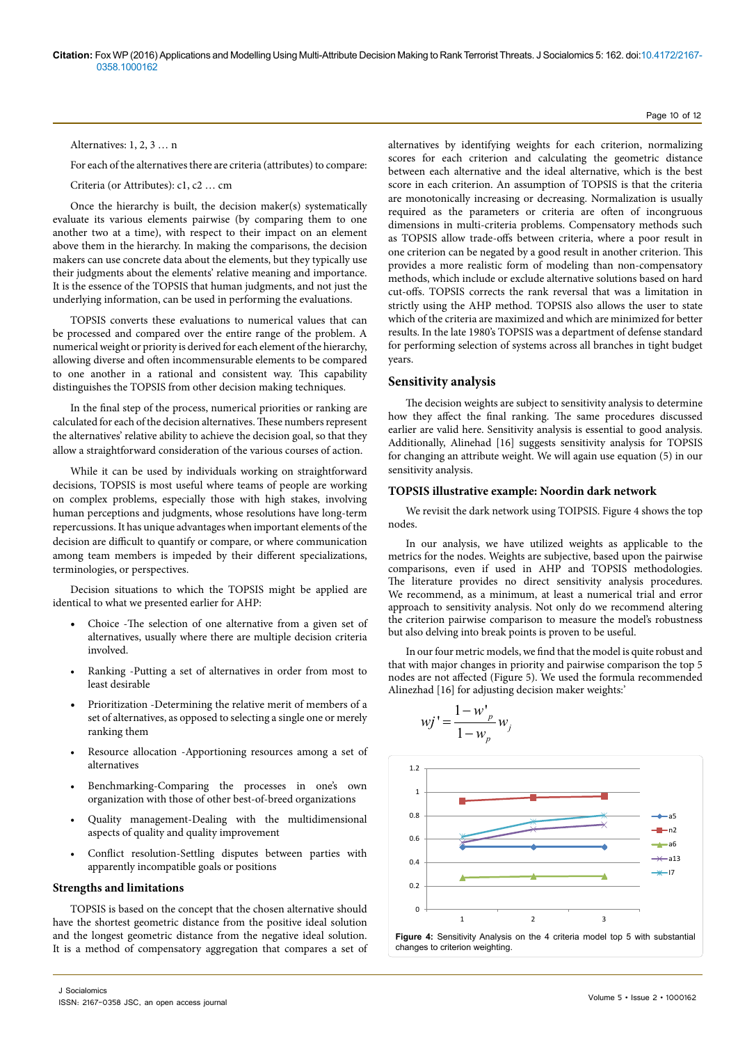## Alternatives: 1, 2, 3 … n

For each of the alternatives there are criteria (attributes) to compare:

Criteria (or Attributes): c1, c2 … cm

Once the hierarchy is built, the decision maker(s) systematically evaluate its various elements pairwise (by comparing them to one another two at a time), with respect to their impact on an element above them in the hierarchy. In making the comparisons, the decision makers can use concrete data about the elements, but they typically use their judgments about the elements' relative meaning and importance. It is the essence of the TOPSIS that human judgments, and not just the underlying information, can be used in performing the evaluations.

TOPSIS converts these evaluations to [numerical](http://en.wikipedia.org/wiki/Numerical) values that can be processed and compared over the entire range of the problem. A numerical weight or [priority](http://en.wikipedia.org/wiki/Priority) is derived for each element of the hierarchy, allowing diverse and often incommensurable elements to be compared to one another in a rational and consistent way. This capability distinguishes the TOPSIS from other decision making techniques.

In the final step of the process, numerical priorities or ranking are calculated for each of the decision alternatives. These numbers represent the alternatives' relative ability to achieve the decision goal, so that they allow a straightforward consideration of the various courses of action.

While it can be used by individuals working on straightforward decisions, TOPSIS is most useful where teams of people are working on complex problems, especially those with high stakes, involving human perceptions and judgments, whose resolutions have long-term repercussions. It has unique advantages when important elements of the decision are difficult to quantify or compare, or where communication among team members is impeded by their different specializations, terminologies, or perspectives.

Decision situations to which the TOPSIS might be applied are identical to what we presented earlier for AHP:

- Choice -The selection of one alternative from a given set of alternatives, usually where there are multiple decision criteria involved.
- Ranking -Putting a set of alternatives in order from most to least desirable
- Prioritization -Determining the relative merit of members of a set of alternatives, as opposed to selecting a single one or merely ranking them
- Resource allocation -Apportioning resources among a set of alternatives
- Benchmarking-Comparing the processes in one's own organization with those of other best-of-breed organizations
- Quality management-Dealing with the multidimensional aspects of quality and quality improvement
- Conflict resolution-Settling disputes between parties with apparently incompatible goals or positions

## **Strengths and limitations**

TOPSIS is based on the concept that the chosen alternative should have the shortest geometric distance from the positive ideal solution and the longest geometric distance from the negative ideal solution. It is a method of compensatory aggregation that compares a set of

alternatives by identifying weights for each criterion, normalizing scores for each criterion and calculating the geometric distance between each alternative and the ideal alternative, which is the best score in each criterion. An assumption of TOPSIS is that the criteria are monotonically increasing or decreasing. Normalization is usually required as the parameters or criteria are often of incongruous dimensions in multi-criteria problems. Compensatory methods such as TOPSIS allow trade-offs between criteria, where a poor result in one criterion can be negated by a good result in another criterion. This provides a more realistic form of modeling than non-compensatory methods, which include or exclude alternative solutions based on hard cut-offs. TOPSIS corrects the rank reversal that was a limitation in strictly using the AHP method. TOPSIS also allows the user to state which of the criteria are maximized and which are minimized for better results. In the late 1980's TOPSIS was a department of defense standard for performing selection of systems across all branches in tight budget years.

## **Sensitivity analysis**

The decision weights are subject to sensitivity analysis to determine how they affect the final ranking. The same procedures discussed earlier are valid here. Sensitivity analysis is essential to good analysis. Additionally, Alinehad [16] suggests sensitivity analysis for TOPSIS for changing an attribute weight. We will again use equation (5) in our sensitivity analysis.

## **TOPSIS illustrative example: Noordin dark network**

We revisit the dark network using TOIPSIS. Figure 4 shows the top nodes.

In our analysis, we have utilized weights as applicable to the metrics for the nodes. Weights are subjective, based upon the pairwise comparisons, even if used in AHP and TOPSIS methodologies. The literature provides no direct sensitivity analysis procedures. We recommend, as a minimum, at least a numerical trial and error approach to sensitivity analysis. Not only do we recommend altering the criterion pairwise comparison to measure the model's robustness but also delving into break points is proven to be useful.

In our four metric models, we find that the model is quite robust and that with major changes in priority and pairwise comparison the top 5 nodes are not affected (Figure 5). We used the formula recommended Alinezhad [16] for adjusting decision maker weights:'

$$
wj' = \frac{1 - w'_p}{1 - w_p} w_j
$$

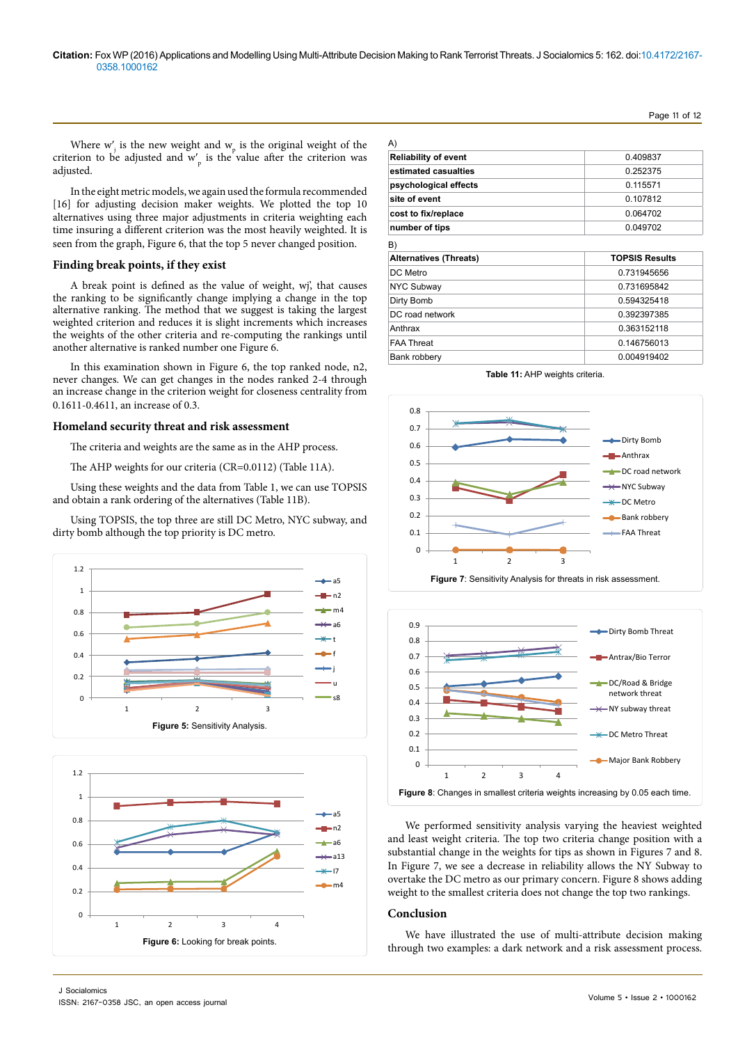Where  $w'_j$  is the new weight and  $w_p$  is the original weight of the criterion to be adjusted and  $w'_p$  is the value after the criterion was adjusted.

In the eight metric models, we again used the formula recommended [16] for adjusting decision maker weights. We plotted the top 10 alternatives using three major adjustments in criteria weighting each time insuring a different criterion was the most heavily weighted. It is seen from the graph, Figure 6, that the top 5 never changed position.

# **Finding break points, if they exist**

A break point is defined as the value of weight, wj', that causes the ranking to be significantly change implying a change in the top alternative ranking. The method that we suggest is taking the largest weighted criterion and reduces it is slight increments which increases the weights of the other criteria and re-computing the rankings until another alternative is ranked number one Figure 6.

In this examination shown in Figure 6, the top ranked node, n2, never changes. We can get changes in the nodes ranked 2-4 through an increase change in the criterion weight for closeness centrality from 0.1611-0.4611, an increase of 0.3.

## **Homeland security threat and risk assessment**

The criteria and weights are the same as in the AHP process.

The AHP weights for our criteria (CR=0.0112) (Table 11A).

Using these weights and the data from Table 1, we can use TOPSIS and obtain a rank ordering of the alternatives (Table 11B).

Using TOPSIS, the top three are still DC Metro, NYC subway, and dirty bomb although the top priority is DC metro.





| A)                            |                       |
|-------------------------------|-----------------------|
| <b>Reliability of event</b>   | 0.409837              |
| estimated casualties          | 0.252375              |
| psychological effects         | 0.115571              |
| site of event                 | 0.107812              |
| cost to fix/replace           | 0.064702              |
| number of tips                | 0.049702              |
| B)                            |                       |
| <b>Alternatives (Threats)</b> | <b>TOPSIS Results</b> |
| DC Metro                      | 0.731945656           |
| <b>NYC Subway</b>             | 0.731695842           |

| <b>DC Metro</b>   | 0.731945656 |
|-------------------|-------------|
| <b>NYC Subway</b> | 0.731695842 |
| Dirty Bomb        | 0.594325418 |
| DC road network   | 0.392397385 |
| Anthrax           | 0.363152118 |
| <b>FAA Threat</b> | 0.146756013 |
| Bank robbery      | 0.004919402 |

**Table 11:** AHP weights criteria.





We performed sensitivity analysis varying the heaviest weighted and least weight criteria. The top two criteria change position with a substantial change in the weights for tips as shown in Figures 7 and 8. In Figure 7, we see a decrease in reliability allows the NY Subway to overtake the DC metro as our primary concern. Figure 8 shows adding weight to the smallest criteria does not change the top two rankings.

## **Conclusion**

We have illustrated the use of multi-attribute decision making through two examples: a dark network and a risk assessment process.